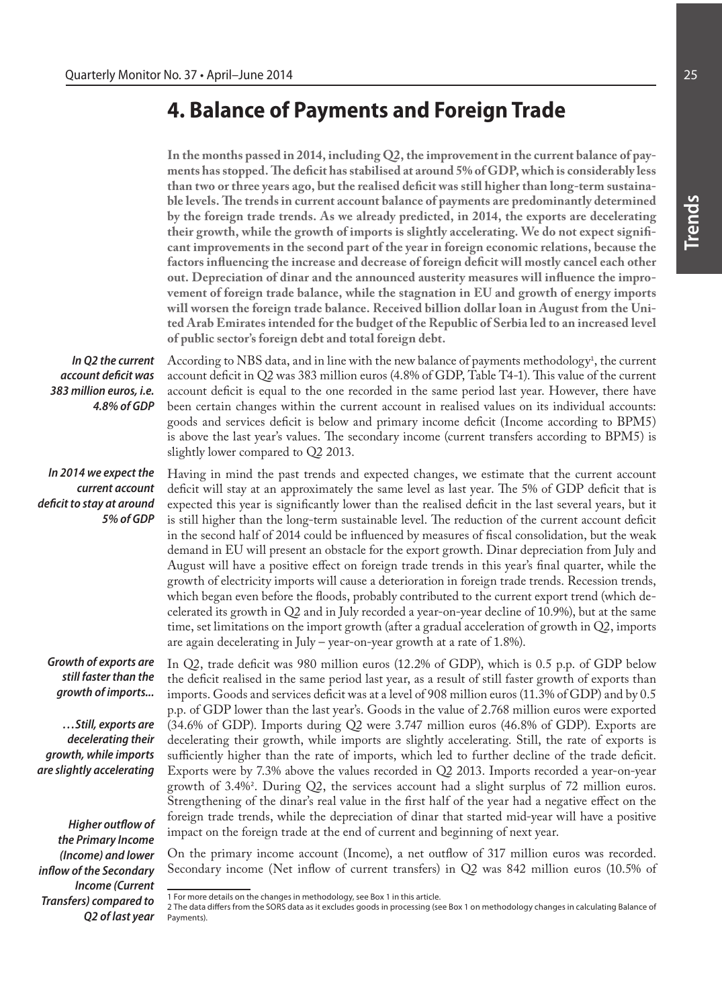# **4. Balance of Payments and Foreign Trade**

**In the months passed in 2014, including Q2, the improvement in the current balance of payments has stopped. The deficit has stabilised at around 5% of GDP, which is considerably less than two or three years ago, but the realised deficit was still higher than long-term sustainable levels. The trends in current account balance of payments are predominantly determined by the foreign trade trends. As we already predicted, in 2014, the exports are decelerating their growth, while the growth of imports is slightly accelerating. We do not expect significant improvements in the second part of the year in foreign economic relations, because the factors influencing the increase and decrease of foreign deficit will mostly cancel each other out. Depreciation of dinar and the announced austerity measures will influence the improvement of foreign trade balance, while the stagnation in EU and growth of energy imports will worsen the foreign trade balance. Received billion dollar loan in August from the United Arab Emirates intended for the budget of the Republic of Serbia led to an increased level of public sector's foreign debt and total foreign debt.** 

According to NBS data, and in line with the new balance of payments methodology<sup>1</sup>, the current account deficit in Q2 was 383 million euros (4.8% of GDP, Table T4-1). This value of the current account deficit is equal to the one recorded in the same period last year. However, there have been certain changes within the current account in realised values on its individual accounts: goods and services deficit is below and primary income deficit (Income according to BPM5) is above the last year's values. The secondary income (current transfers according to BPM5) is

*In Q2 the current account deficit was 383 million euros, i.e. 4.8% of GDP*

*In 2014 we expect the current account deficit to stay at around 5% of GDP* 

slightly lower compared to Q2 2013. Having in mind the past trends and expected changes, we estimate that the current account deficit will stay at an approximately the same level as last year. The 5% of GDP deficit that is expected this year is significantly lower than the realised deficit in the last several years, but it is still higher than the long-term sustainable level. The reduction of the current account deficit in the second half of 2014 could be influenced by measures of fiscal consolidation, but the weak demand in EU will present an obstacle for the export growth. Dinar depreciation from July and August will have a positive effect on foreign trade trends in this year's final quarter, while the growth of electricity imports will cause a deterioration in foreign trade trends. Recession trends, which began even before the floods, probably contributed to the current export trend (which decelerated its growth in Q2 and in July recorded a year-on-year decline of 10.9%), but at the same time, set limitations on the import growth (after a gradual acceleration of growth in Q2, imports are again decelerating in July – year-on-year growth at a rate of 1.8%).

*Growth of exports are still faster than the growth of imports...* 

*…Still, exports are decelerating their growth, while imports are slightly accelerating*

*Higher outflow of the Primary Income (Income) and lower inflow of the Secondary Income (Current Transfers) compared to Q2 of last year* 

On the primary income account (Income), a net outflow of 317 million euros was recorded. Secondary income (Net inflow of current transfers) in Q2 was 842 million euros (10.5% of

In Q2, trade deficit was 980 million euros (12.2% of GDP), which is 0.5 p.p. of GDP below the deficit realised in the same period last year, as a result of still faster growth of exports than imports. Goods and services deficit was at a level of 908 million euros (11.3% of GDP) and by 0.5 p.p. of GDP lower than the last year's. Goods in the value of 2.768 million euros were exported (34.6% of GDP). Imports during Q2 were 3.747 million euros (46.8% of GDP). Exports are decelerating their growth, while imports are slightly accelerating. Still, the rate of exports is sufficiently higher than the rate of imports, which led to further decline of the trade deficit. Exports were by 7.3% above the values recorded in Q2 2013. Imports recorded a year-on-year growth of 3.4%<sup>2</sup> . During Q2, the services account had a slight surplus of 72 million euros. Strengthening of the dinar's real value in the first half of the year had a negative effect on the foreign trade trends, while the depreciation of dinar that started mid-year will have a positive impact on the foreign trade at the end of current and beginning of next year.

<sup>1</sup> For more details on the changes in methodology, see Box 1 in this article.

<sup>2</sup> The data differs from the SORS data as it excludes goods in processing (see Box 1 on methodology changes in calculating Balance of Payments).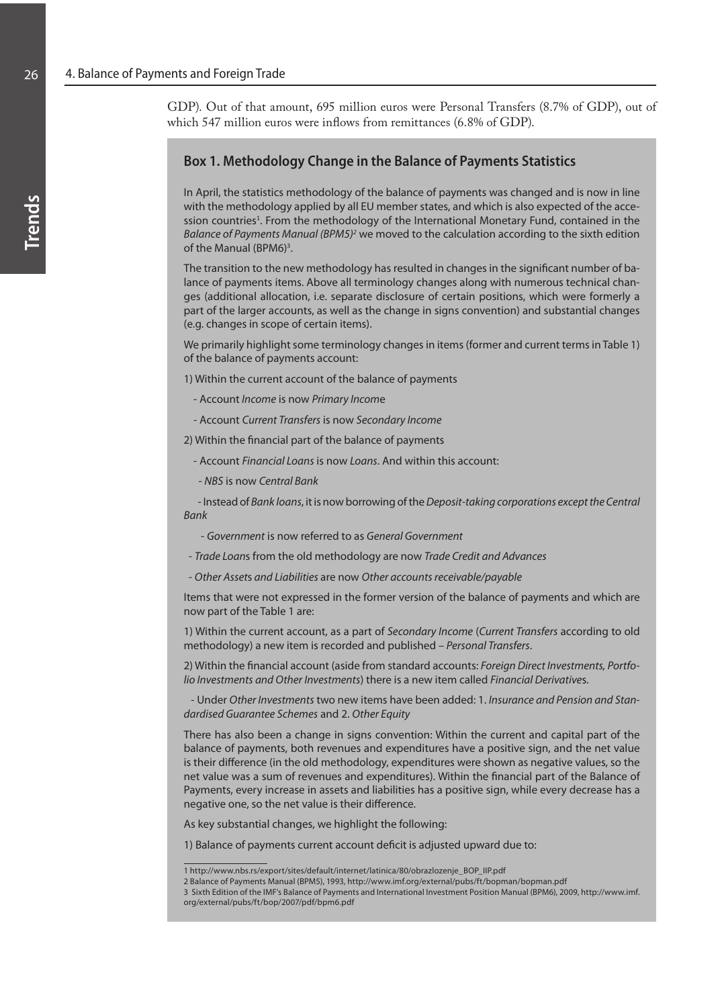GDP). Out of that amount, 695 million euros were Personal Transfers (8.7% of GDP), out of which 547 million euros were inflows from remittances (6.8% of GDP).

## **Box 1. Methodology Change in the Balance of Payments Statistics**

In April, the statistics methodology of the balance of payments was changed and is now in line with the methodology applied by all EU member states, and which is also expected of the accession countries<sup>1</sup>. From the methodology of the International Monetary Fund, contained in the *Balance of Payments Manual (BPM5)<sup>2</sup> w*e moved to the calculation according to the sixth edition of the Manual (BPM6)<sup>3</sup>.

The transition to the new methodology has resulted in changes in the significant number of balance of payments items. Above all terminology changes along with numerous technical changes (additional allocation, i.e. separate disclosure of certain positions, which were formerly a part of the larger accounts, as well as the change in signs convention) and substantial changes (e.g. changes in scope of certain items).

We primarily highlight some terminology changes in items (former and current terms in Table 1) of the balance of payments account:

1) Within the current account of the balance of payments

- Account *Income* is now *Primary Incom*e
- Account *Current Transfers* is now *Secondary Income*

2) Within the financial part of the balance of payments

- Account *Financial Loans* is now *Loans*. And within this account:
- *NBS* is now *Central Bank*

 - Instead of *Bank loans*, it is now borrowing of the *Deposit-taking corporations except the Central Bank*

- *Government* is now referred to as *General Government*
- *Trade Loan*s from the old methodology are now *Trade Credit and Advances*
- *Other Asset*s *and Liabilities* are now *Other accounts receivable/payable*

Items that were not expressed in the former version of the balance of payments and which are now part of the Table 1 are:

1) Within the current account, as a part of *Secondary Income* (*Current Transfers* according to old methodology) a new item is recorded and published – *Personal Transfers*.

2) Within the financial account (aside from standard accounts: *Foreign Direct Investments, Portfolio Investments and Other Investments*) there is a new item called *Financial Derivative*s.

 - Under *Other Investments* two new items have been added: 1. *Insurance and Pension and Standardised Guarantee Schemes* and 2. *Other Equity*

There has also been a change in signs convention: Within the current and capital part of the balance of payments, both revenues and expenditures have a positive sign, and the net value is their difference (in the old methodology, expenditures were shown as negative values, so the net value was a sum of revenues and expenditures). Within the financial part of the Balance of Payments, every increase in assets and liabilities has a positive sign, while every decrease has a negative one, so the net value is their difference.

As key substantial changes, we highlight the following:

1) Balance of payments current account deficit is adjusted upward due to:

<sup>1</sup> http://www.nbs.rs/export/sites/default/internet/latinica/80/obrazlozenje\_BOP\_IIP.pdf

<sup>2</sup> Balance of Payments Manual (BPM5), 1993, http://www.imf.org/external/pubs/ft/bopman/bopman.pdf

<sup>3</sup> Sixth Edition of the IMF's Balance of Payments and International Investment Position Manual (BPM6), 2009, http://www.imf. org/external/pubs/ft/bop/2007/pdf/bpm6.pdf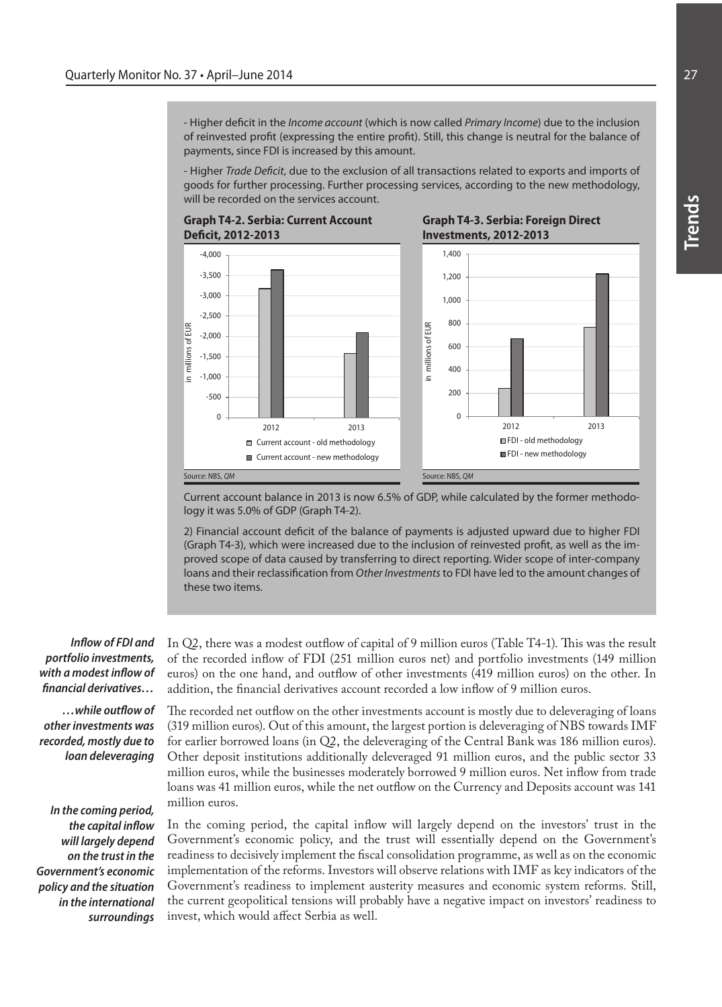- Higher deficit in the *Income account* (which is now called *Primary Income*) due to the inclusion of reinvested profit (expressing the entire profit). Still, this change is neutral for the balance of payments, since FDI is increased by this amount.

- Higher *Trade Deficit*, due to the exclusion of all transactions related to exports and imports of goods for further processing. Further processing services, according to the new methodology, will be recorded on the services account.







Current account balance in 2013 is now 6.5% of GDP, while calculated by the former methodology it was 5.0% of GDP (Graph T4-2).

2) Financial account deficit of the balance of payments is adjusted upward due to higher FDI (Graph T4-3), which were increased due to the inclusion of reinvested profit, as well as the improved scope of data caused by transferring to direct reporting. Wider scope of inter-company loans and their reclassification from *Other Investments* to FDI have led to the amount changes of these two items.

*Inflow of FDI and portfolio investments, with a modest inflow of financial derivatives…*

*…while outflow of other investments was recorded, mostly due to loan deleveraging* 

*In the coming period, the capital inflow will largely depend on the trust in the Government's economic policy and the situation in the international surroundings* In Q2, there was a modest outflow of capital of 9 million euros (Table T4-1). This was the result of the recorded inflow of FDI (251 million euros net) and portfolio investments (149 million euros) on the one hand, and outflow of other investments (419 million euros) on the other. In addition, the financial derivatives account recorded a low inflow of 9 million euros.

The recorded net outflow on the other investments account is mostly due to deleveraging of loans (319 million euros). Out of this amount, the largest portion is deleveraging of NBS towards IMF for earlier borrowed loans (in Q2, the deleveraging of the Central Bank was 186 million euros). Other deposit institutions additionally deleveraged 91 million euros, and the public sector 33 million euros, while the businesses moderately borrowed 9 million euros. Net inflow from trade loans was 41 million euros, while the net outflow on the Currency and Deposits account was 141 million euros.

In the coming period, the capital inflow will largely depend on the investors' trust in the Government's economic policy, and the trust will essentially depend on the Government's readiness to decisively implement the fiscal consolidation programme, as well as on the economic implementation of the reforms. Investors will observe relations with IMF as key indicators of the Government's readiness to implement austerity measures and economic system reforms. Still, the current geopolitical tensions will probably have a negative impact on investors' readiness to invest, which would affect Serbia as well.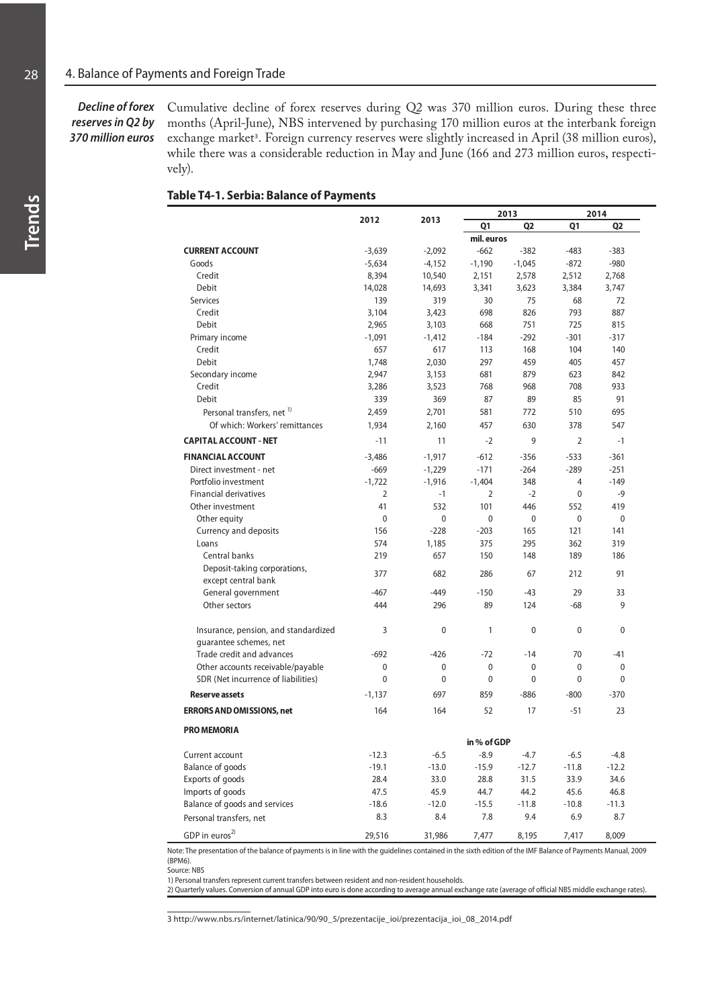### *Decline of forex reserves in Q2 by 370 million euros*

Cumulative decline of forex reserves during Q2 was 370 million euros. During these three months (April-June), NBS intervened by purchasing 170 million euros at the interbank foreign exchange market<sup>3</sup>. Foreign currency reserves were slightly increased in April (38 million euros), while there was a considerable reduction in May and June (166 and 273 million euros, respectively).

#### **Table T4-1. Serbia: Balance of Payments**

|                                                                          | 2012              | 2013             |                       | 2013                        | 2014                         |                   |  |
|--------------------------------------------------------------------------|-------------------|------------------|-----------------------|-----------------------------|------------------------------|-------------------|--|
|                                                                          |                   |                  | Q1                    | Q <sub>2</sub>              | Q1                           | Q <sub>2</sub>    |  |
|                                                                          |                   |                  | mil. euros            |                             |                              |                   |  |
| <b>CURRENT ACCOUNT</b>                                                   | $-3,639$          | $-2,092$         | $-662$                | $-382$                      | $-483$                       | $-383$            |  |
| Goods                                                                    | $-5,634$          | $-4,152$         | $-1,190$              | $-1,045$                    | $-872$                       | $-980$            |  |
| Credit                                                                   | 8,394             | 10,540           | 2,151                 | 2,578                       | 2,512                        | 2,768             |  |
| Debit                                                                    | 14,028            | 14,693           | 3,341                 | 3,623                       | 3,384                        | 3,747             |  |
| <b>Services</b>                                                          | 139               | 319              | 30                    | 75                          | 68                           | 72                |  |
| Credit                                                                   | 3,104             | 3,423            | 698                   | 826                         | 793                          | 887               |  |
| Debit                                                                    | 2,965             | 3,103            | 668                   | 751                         | 725                          | 815               |  |
| Primary income                                                           | $-1,091$          | $-1,412$         | $-184$                | $-292$                      | $-301$                       | $-317$            |  |
| Credit                                                                   | 657               | 617              | 113                   | 168                         | 104                          | 140               |  |
| <b>Debit</b>                                                             | 1,748             | 2,030            | 297                   | 459                         | 405                          | 457               |  |
| Secondary income                                                         | 2,947             | 3,153            | 681                   | 879                         | 623                          | 842               |  |
| Credit                                                                   | 3,286             | 3,523            | 768                   | 968                         | 708                          | 933               |  |
| Debit                                                                    | 339               | 369              | 87                    | 89                          | 85                           | 91                |  |
| Personal transfers, net <sup>1)</sup>                                    | 2,459             | 2,701            | 581                   | 772                         | 510                          | 695               |  |
| Of which: Workers' remittances                                           | 1,934             | 2,160            | 457                   | 630                         | 378                          | 547               |  |
| <b>CAPITAL ACCOUNT - NET</b>                                             | $-11$             | 11               | $-2$                  | 9                           | $\overline{2}$               | $-1$              |  |
| <b>FINANCIAL ACCOUNT</b>                                                 | $-3,486$          | $-1,917$         | $-612$                | $-356$                      | $-533$                       | $-361$            |  |
| Direct investment - net                                                  | $-669$            | $-1,229$         | $-171$                | $-264$                      | $-289$                       | $-251$            |  |
| Portfolio investment                                                     | $-1,722$          | $-1,916$         | $-1,404$              | 348                         | 4                            | $-149$            |  |
| <b>Financial derivatives</b>                                             | $\overline{2}$    | $-1$             | 2                     | $-2$                        | $\mathbf{0}$                 | $-9$              |  |
| Other investment                                                         | 41                | 532              | 101                   | 446                         | 552                          | 419               |  |
| Other equity                                                             | $\mathbf{0}$      | $\mathbf{0}$     | $\mathbf{0}$          | $\mathbf{0}$                | $\mathbf{0}$                 | $\mathbf{0}$      |  |
| Currency and deposits                                                    | 156               | $-228$           | $-203$                | 165                         | 121                          | 141               |  |
| Loans                                                                    | 574               | 1,185            | 375                   | 295                         | 362                          | 319               |  |
| Central banks                                                            | 219               | 657              | 150                   | 148                         | 189                          | 186               |  |
| Deposit-taking corporations,<br>except central bank                      | 377               | 682              | 286                   | 67                          | 212                          | 91                |  |
| General government                                                       | $-467$            | $-449$           | $-150$                | -43                         | 29                           | 33                |  |
| Other sectors                                                            | 444               | 296              | 89                    | 124                         | $-68$                        | 9                 |  |
| Insurance, pension, and standardized                                     | 3                 | $\mathbf 0$      | $\mathbf{1}$          | $\mathbf{0}$                | $\mathbf{0}$                 | 0                 |  |
| quarantee schemes, net                                                   | $-692$            |                  |                       |                             | 70                           |                   |  |
| Trade credit and advances                                                |                   | $-426$           | $-72$                 | $-14$                       |                              | -41               |  |
| Other accounts receivable/payable<br>SDR (Net incurrence of liabilities) | 0<br>$\mathbf{0}$ | $\mathbf 0$<br>0 | 0<br>$\mathbf{0}$     | $\mathbf 0$<br>$\mathbf{0}$ | $\mathbf{0}$<br>$\mathbf{0}$ | 0<br>$\mathbf{0}$ |  |
| <b>Reserve assets</b>                                                    | $-1,137$          | 697              | 859                   | $-886$                      | $-800$                       | $-370$            |  |
| <b>ERRORS AND OMISSIONS, net</b>                                         | 164               | 164              | 52                    | 17                          | $-51$                        | 23                |  |
|                                                                          |                   |                  |                       |                             |                              |                   |  |
| <b>PRO MEMORIA</b>                                                       |                   |                  |                       |                             |                              |                   |  |
| Current account                                                          | $-12.3$           | $-6.5$           | in % of GDP<br>$-8.9$ | $-4.7$                      | $-6.5$                       | $-4.8$            |  |
| <b>Balance of goods</b>                                                  | $-19.1$           | $-13.0$          | $-15.9$               | $-12.7$                     | $-11.8$                      | $-12.2$           |  |
| Exports of goods                                                         | 28.4              | 33.0             |                       | 31.5                        | 33.9                         | 34.6              |  |
| Imports of goods                                                         | 47.5              | 45.9             | 28.8<br>44.7          | 44.2                        | 45.6                         | 46.8              |  |
| Balance of goods and services                                            | $-18.6$           |                  | $-15.5$               | $-11.8$                     |                              |                   |  |
| Personal transfers, net                                                  | 8.3               | $-12.0$<br>8.4   | 7.8                   | 9.4                         | $-10.8$<br>6.9               | $-11.3$<br>8.7    |  |
| GDP in euros <sup>2)</sup>                                               | 29,516            | 31,986           | 7,477                 | 8,195                       | 7,417                        | 8,009             |  |

Note: The presentation of the balance of payments is in line with the guidelines contained in the sixth edition of the IMF Balance of Payments Manual, 2009 (BPM6).

Source: NBS

1) Personal transfers represent current transfers between resident and non-resident households.

2) Quarterly values. Conversion of annual GDP into euro is done according to average annual exchange rate (average of official NBS middle exchange rates).

3 http://www.nbs.rs/internet/latinica/90/90\_5/prezentacije\_ioi/prezentacija\_ioi\_08\_2014.pdf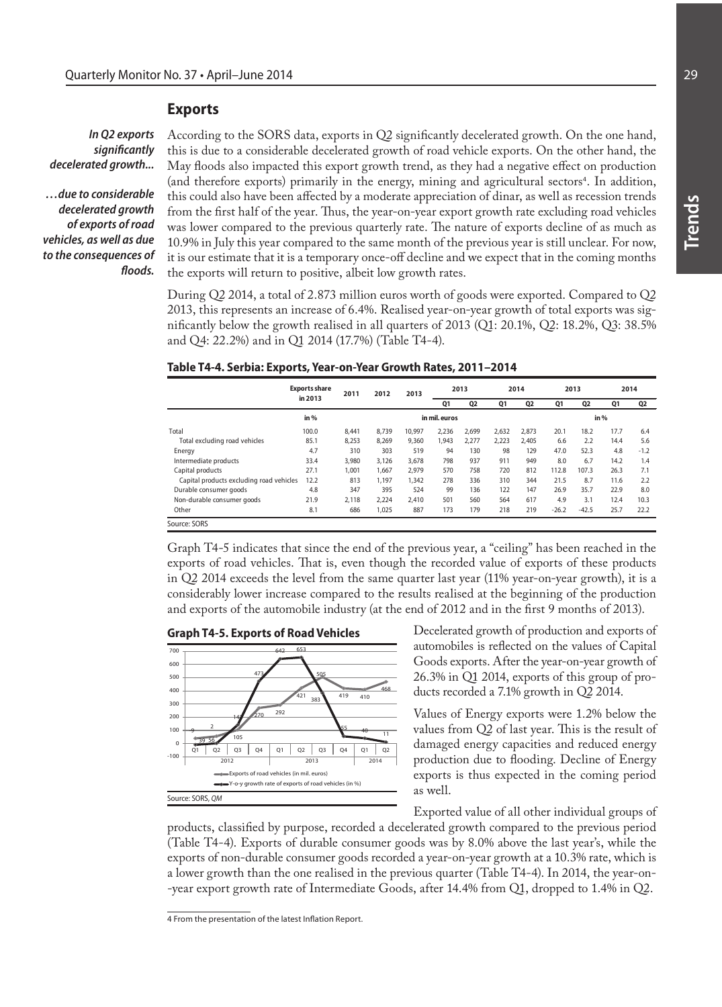#### **Exports**

### *In Q2 exports significantly decelerated growth...*

*…due to considerable decelerated growth of exports of road vehicles, as well as due to the consequences of floods.* 

According to the SORS data, exports in Q2 significantly decelerated growth. On the one hand, this is due to a considerable decelerated growth of road vehicle exports. On the other hand, the May floods also impacted this export growth trend, as they had a negative effect on production (and therefore exports) primarily in the energy, mining and agricultural sectors<sup>4</sup>. In addition, this could also have been affected by a moderate appreciation of dinar, as well as recession trends from the first half of the year. Thus, the year-on-year export growth rate excluding road vehicles was lower compared to the previous quarterly rate. The nature of exports decline of as much as 10.9% in July this year compared to the same month of the previous year is still unclear. For now, it is our estimate that it is a temporary once-off decline and we expect that in the coming months the exports will return to positive, albeit low growth rates.

During Q2 2014, a total of 2.873 million euros worth of goods were exported. Compared to Q2 2013, this represents an increase of 6.4%. Realised year-on-year growth of total exports was significantly below the growth realised in all quarters of 2013 (Q1: 20.1%, Q2: 18.2%, Q3: 38.5% and Q4: 22.2%) and in Q1 2014 (17.7%) (Table T4-4).

#### **Table T4-4. Serbia: Exports, Year-on-Year Growth Rates, 2011–2014**

|                                          | <b>Exports share</b><br>in 2013 | 2011  | 2012          | 2013   | 2013  |                | 2014  |                | 2013    |                | 2014 |        |
|------------------------------------------|---------------------------------|-------|---------------|--------|-------|----------------|-------|----------------|---------|----------------|------|--------|
|                                          |                                 |       |               |        | Q1    | Q <sub>2</sub> | Q1    | Q <sub>2</sub> | Q1      | Q <sub>2</sub> | Q1   | Q2     |
|                                          | in $%$                          |       | in mil. euros |        |       |                |       | in $%$         |         |                |      |        |
| Total                                    | 100.0                           | 8.441 | 8.739         | 10.997 | 2.236 | 2.699          | 2.632 | 2.873          | 20.1    | 18.2           | 17.7 | 6.4    |
| Total excluding road vehicles            | 85.1                            | 8,253 | 8,269         | 9.360  | 1,943 | 2,277          | 2,223 | 2.405          | 6.6     | 2.2            | 14.4 | 5.6    |
| Energy                                   | 4.7                             | 310   | 303           | 519    | 94    | 130            | 98    | 129            | 47.0    | 52.3           | 4.8  | $-1.2$ |
| Intermediate products                    | 33.4                            | 3.980 | 3.126         | 3.678  | 798   | 937            | 911   | 949            | 8.0     | 6.7            | 14.2 | 1.4    |
| Capital products                         | 27.1                            | 1.001 | 1.667         | 2.979  | 570   | 758            | 720   | 812            | 112.8   | 107.3          | 26.3 | 7.1    |
| Capital products excluding road vehicles | 12.2                            | 813   | 1.197         | 1.342  | 278   | 336            | 310   | 344            | 21.5    | 8.7            | 11.6 | 2.2    |
| Durable consumer goods                   | 4.8                             | 347   | 395           | 524    | 99    | 136            | 122   | 147            | 26.9    | 35.7           | 22.9 | 8.0    |
| Non-durable consumer goods               | 21.9                            | 2.118 | 2.224         | 2.410  | 501   | 560            | 564   | 617            | 4.9     | 3.1            | 12.4 | 10.3   |
| Other                                    | 8.1                             | 686   | 1,025         | 887    | 173   | 179            | 218   | 219            | $-26.2$ | $-42.5$        | 25.7 | 22.2   |
| Source: SORS                             |                                 |       |               |        |       |                |       |                |         |                |      |        |

Graph T4-5 indicates that since the end of the previous year, a "ceiling" has been reached in the exports of road vehicles. That is, even though the recorded value of exports of these products in Q2 2014 exceeds the level from the same quarter last year (11% year-on-year growth), it is a considerably lower increase compared to the results realised at the beginning of the production and exports of the automobile industry (at the end of 2012 and in the first 9 months of 2013).





Decelerated growth of production and exports of automobiles is reflected on the values of Capital Goods exports. After the year-on-year growth of 26.3% in Q1 2014, exports of this group of products recorded a 7.1% growth in Q2 2014.

Values of Energy exports were 1.2% below the values from Q2 of last year. This is the result of damaged energy capacities and reduced energy production due to flooding. Decline of Energy exports is thus expected in the coming period as well.

Exported value of all other individual groups of

products, classified by purpose, recorded a decelerated growth compared to the previous period (Table T4-4). Exports of durable consumer goods was by 8.0% above the last year's, while the exports of non-durable consumer goods recorded a year-on-year growth at a 10.3% rate, which is a lower growth than the one realised in the previous quarter (Table T4-4). In 2014, the year-on- -year export growth rate of Intermediate Goods, after 14.4% from Q1, dropped to 1.4% in Q2.

<sup>4</sup> From the presentation of the latest Inflation Report.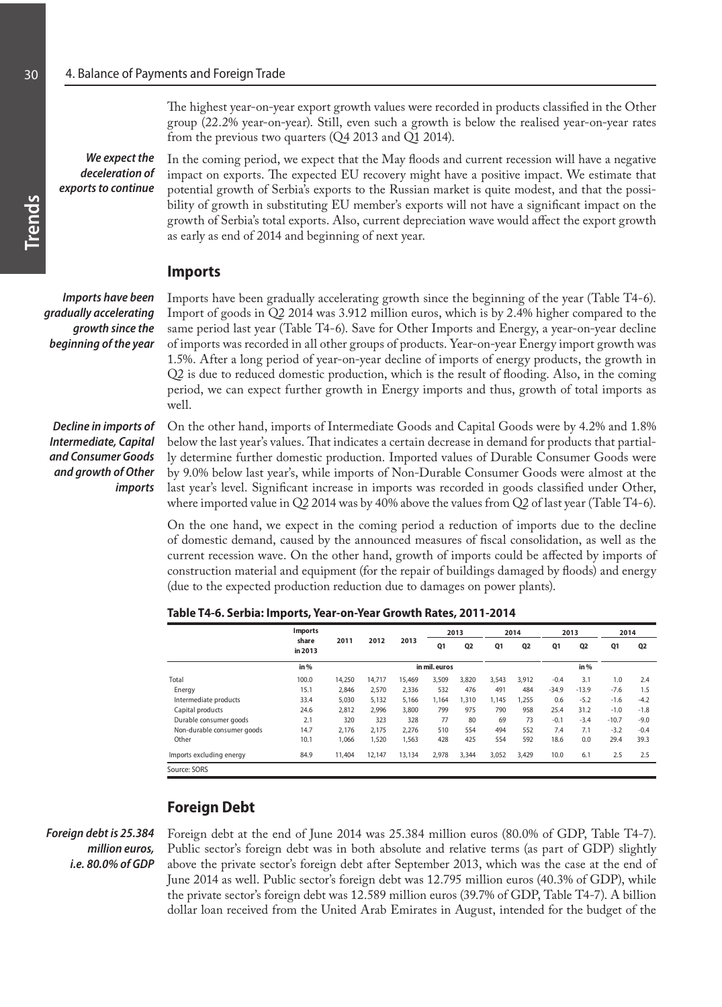The highest year-on-year export growth values were recorded in products classified in the Other group (22.2% year-on-year). Still, even such a growth is below the realised year-on-year rates from the previous two quarters (Q4 2013 and Q1 2014).

In the coming period, we expect that the May floods and current recession will have a negative impact on exports. The expected EU recovery might have a positive impact. We estimate that potential growth of Serbia's exports to the Russian market is quite modest, and that the possibility of growth in substituting EU member's exports will not have a significant impact on the growth of Serbia's total exports. Also, current depreciation wave would affect the export growth *We expect the deceleration of exports to continue*

as early as end of 2014 and beginning of next year.

**Imports**

*Imports have been gradually accelerating growth since the beginning of the year*  Imports have been gradually accelerating growth since the beginning of the year (Table T4-6). Import of goods in Q2 2014 was 3.912 million euros, which is by 2.4% higher compared to the same period last year (Table T4-6). Save for Other Imports and Energy, a year-on-year decline of imports was recorded in all other groups of products. Year-on-year Energy import growth was 1.5%. After a long period of year-on-year decline of imports of energy products, the growth in Q2 is due to reduced domestic production, which is the result of flooding. Also, in the coming period, we can expect further growth in Energy imports and thus, growth of total imports as well.

*Decline in imports of Intermediate, Capital and Consumer Goods and growth of Other imports* 

On the other hand, imports of Intermediate Goods and Capital Goods were by 4.2% and 1.8% below the last year's values. That indicates a certain decrease in demand for products that partially determine further domestic production. Imported values of Durable Consumer Goods were by 9.0% below last year's, while imports of Non-Durable Consumer Goods were almost at the last year's level. Significant increase in imports was recorded in goods classified under Other, where imported value in Q2 2014 was by 40% above the values from Q2 of last year (Table T4-6).

On the one hand, we expect in the coming period a reduction of imports due to the decline of domestic demand, caused by the announced measures of fiscal consolidation, as well as the current recession wave. On the other hand, growth of imports could be affected by imports of construction material and equipment (for the repair of buildings damaged by floods) and energy (due to the expected production reduction due to damages on power plants).

|                            | <b>Imports</b>   | 2011   | 2012   | 2013   | 2013          |                | 2014  |                | 2013    |                | 2014    |                |
|----------------------------|------------------|--------|--------|--------|---------------|----------------|-------|----------------|---------|----------------|---------|----------------|
|                            | share<br>in 2013 |        |        |        | Q1            | Q <sub>2</sub> | Q1    | Q <sub>2</sub> | Q1      | Q <sub>2</sub> | Q1      | Q <sub>2</sub> |
|                            | in $%$           |        |        |        | in mil. euros |                |       |                |         | in $%$         |         |                |
| Total                      | 100.0            | 14,250 | 14.717 | 15,469 | 3,509         | 3,820          | 3,543 | 3,912          | $-0.4$  | 3.1            | 1.0     | 2.4            |
| Energy                     | 15.1             | 2,846  | 2.570  | 2,336  | 532           | 476            | 491   | 484            | $-34.9$ | $-13.9$        | $-7.6$  | 1.5            |
| Intermediate products      | 33.4             | 5,030  | 5.132  | 5,166  | 1,164         | 1,310          | 1.145 | 1,255          | 0.6     | $-5.2$         | $-1.6$  | $-4.2$         |
| Capital products           | 24.6             | 2,812  | 2.996  | 3,800  | 799           | 975            | 790   | 958            | 25.4    | 31.2           | $-1.0$  | $-1.8$         |
| Durable consumer goods     | 2.1              | 320    | 323    | 328    | 77            | 80             | 69    | 73             | $-0.1$  | $-3.4$         | $-10.7$ | $-9.0$         |
| Non-durable consumer goods | 14.7             | 2.176  | 2.175  | 2,276  | 510           | 554            | 494   | 552            | 7.4     | 7.1            | $-3.2$  | $-0.4$         |
| Other                      | 10.1             | 1,066  | 1,520  | 1,563  | 428           | 425            | 554   | 592            | 18.6    | 0.0            | 29.4    | 39.3           |
| Imports excluding energy   | 84.9             | 11,404 | 12.147 | 13,134 | 2,978         | 3,344          | 3,052 | 3,429          | 10.0    | 6.1            | 2.5     | 2.5            |
| Source: SORS               |                  |        |        |        |               |                |       |                |         |                |         |                |

**Table T4-6. Serbia: Imports, Year-on-Year Growth Rates, 2011-2014**

# **Foreign Debt**

*Foreign debt is 25.384 million euros, i.e. 80.0% of GDP* Foreign debt at the end of June 2014 was 25.384 million euros (80.0% of GDP, Table T4-7). Public sector's foreign debt was in both absolute and relative terms (as part of GDP) slightly above the private sector's foreign debt after September 2013, which was the case at the end of June 2014 as well. Public sector's foreign debt was 12.795 million euros (40.3% of GDP), while the private sector's foreign debt was 12.589 million euros (39.7% of GDP, Table T4-7). A billion dollar loan received from the United Arab Emirates in August, intended for the budget of the